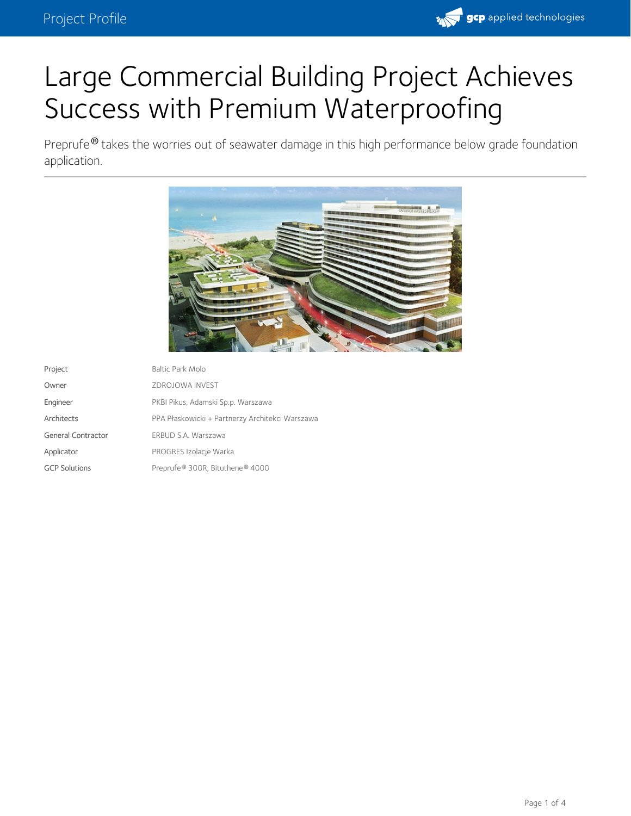

# Large Commercial Building Project Achieves Success with Premium Waterproofing

Preprufe $^\circledR$  takes the worries out of seawater damage in this high performance below grade foundation application.



| Project              | Baltic Park Molo                                |
|----------------------|-------------------------------------------------|
| Owner                | ZDROJOWA INVEST                                 |
| Engineer             | PKBI Pikus, Adamski Sp.p. Warszawa              |
| Architects           | PPA Płaskowicki + Partnerzy Architekci Warszawa |
| General Contractor   | ERBUD S.A. Warszawa                             |
| Applicator           | PROGRES Izolacje Warka                          |
| <b>GCP Solutions</b> | Preprufe® 300R, Bituthene® 4000                 |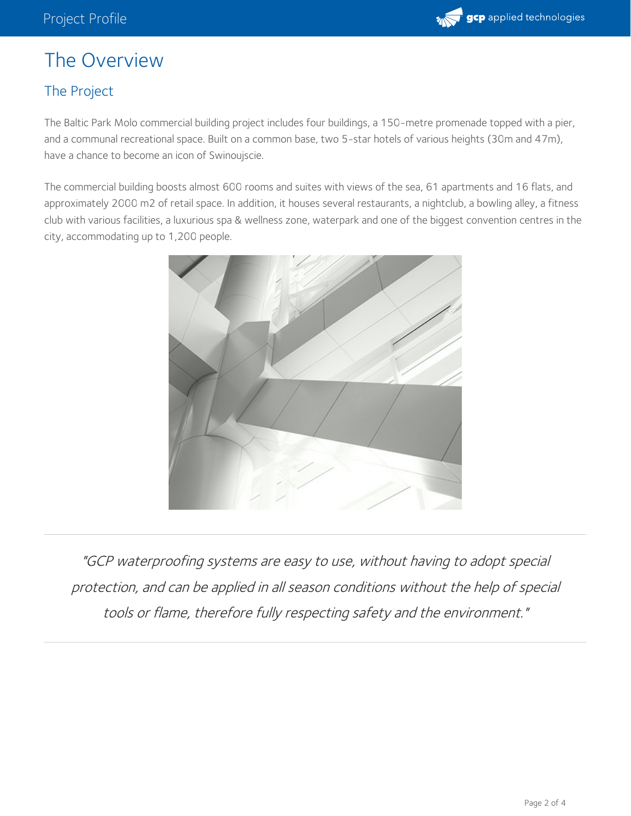

# The Overview

#### The Project

The Baltic Park Molo commercial building project includes four buildings, a 150-metre promenade topped with a pier, and a communal recreational space. Built on a common base, two 5-star hotels of various heights (30m and 47m), have a chance to become an icon of Swinoujscie.

The commercial building boosts almost 600 rooms and suites with views of the sea, 61 apartments and 16 flats, and approximately 2000 m2 of retail space. In addition, it houses several restaurants, a nightclub, a bowling alley, a fitness club with various facilities, a luxurious spa & wellness zone, waterpark and one of the biggest convention centres in the city, accommodating up to 1,200 people.



"GCP waterproofing systems are easy to use, without having to adopt special protection, and can be applied in all season conditions without the help of special tools or flame, therefore fully respecting safety and the environment."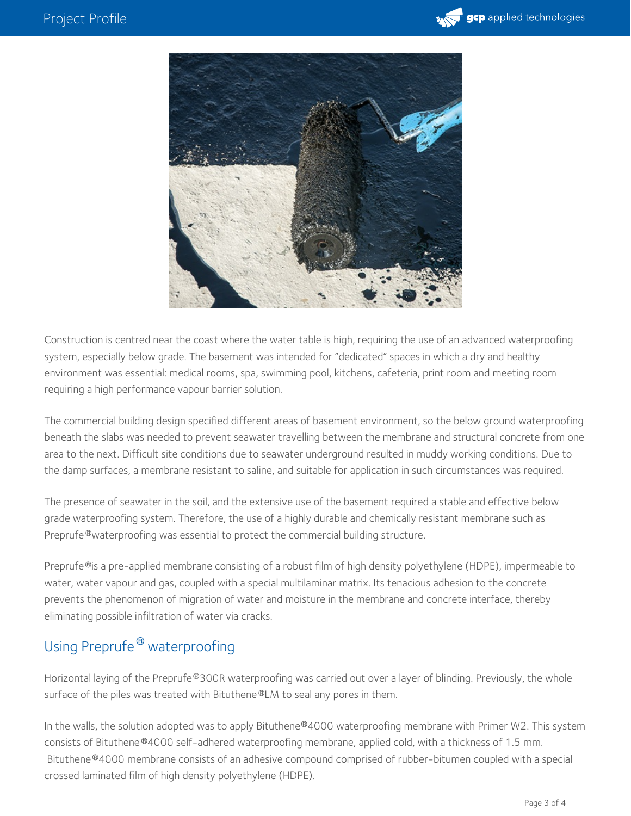



Construction is centred near the coast where the water table is high, requiring the use of an advanced waterproofing system, especially below grade. The basement was intended for "dedicated" spaces in which a dry and healthy environment was essential: medical rooms, spa, swimming pool, kitchens, cafeteria, print room and meeting room requiring a high performance vapour barrier solution.

The commercial building design specified different areas of basement environment, so the below ground waterproofing beneath the slabs was needed to prevent seawater travelling between the membrane and structural concrete from one area to the next. Difficult site conditions due to seawater underground resulted in muddy working conditions. Due to the damp surfaces, a membrane resistant to saline, and suitable for application in such circumstances was required.

The presence of seawater in the soil, and the extensive use of the basement required a stable and effective below grade waterproofing system. Therefore, the use of a highly durable and chemically resistant membrane such as Preprufe®waterproofing was essential to protect the commercial building structure.

Preprufe®is a pre-applied membrane consisting of a robust film of high density polyethylene (HDPE), impermeable to water, water vapour and gas, coupled with a special multilaminar matrix. Its tenacious adhesion to the concrete prevents the phenomenon of migration of water and moisture in the membrane and concrete interface, thereby eliminating possible infiltration of water via cracks.

## Using Preprufe® waterproofing

Horizontal laying of the Preprufe®300R waterproofing was carried out over a layer of blinding. Previously, the whole surface of the piles was treated with Bituthene®LM to seal any pores in them.

In the walls, the solution adopted was to apply Bituthene®4000 waterproofing membrane with Primer W2. This system consists of Bituthene®4000 self-adhered waterproofing membrane, applied cold, with a thickness of 1.5 mm. Bituthene®4000 membrane consists of an adhesive compound comprised of rubber-bitumen coupled with a special crossed laminated film of high density polyethylene (HDPE).